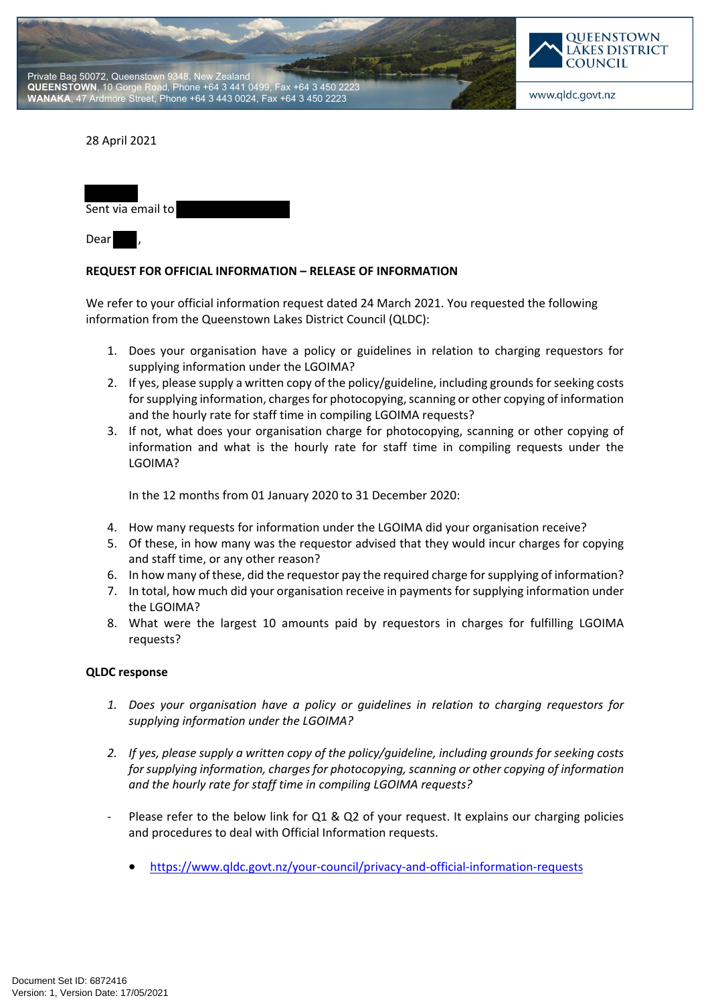



## 28 April 2021

| Sent via email to |  |
|-------------------|--|
|                   |  |

Dear ,

## **REQUEST FOR OFFICIAL INFORMATION – RELEASE OF INFORMATION**

We refer to your official information request dated 24 March 2021. You requested the following information from the Queenstown Lakes District Council (QLDC):

- 1. Does your organisation have a policy or guidelines in relation to charging requestors for supplying information under the LGOIMA?
- 2. If yes, please supply a written copy of the policy/guideline, including grounds for seeking costs for supplying information, charges for photocopying, scanning or other copying of information and the hourly rate for staff time in compiling LGOIMA requests?
- 3. If not, what does your organisation charge for photocopying, scanning or other copying of information and what is the hourly rate for staff time in compiling requests under the LGOIMA?

In the 12 months from 01 January 2020 to 31 December 2020:

- 4. How many requests for information under the LGOIMA did your organisation receive?
- 5. Of these, in how many was the requestor advised that they would incur charges for copying and staff time, or any other reason?
- 6. In how many of these, did the requestor pay the required charge for supplying of information?
- 7. In total, how much did your organisation receive in payments for supplying information under the LGOIMA?
- 8. What were the largest 10 amounts paid by requestors in charges for fulfilling LGOIMA requests?

## **QLDC response**

- *1. Does your organisation have a policy or guidelines in relation to charging requestors for supplying information under the LGOIMA?*
- *2. If yes, please supply a written copy of the policy/guideline, including grounds for seeking costs for supplying information, charges for photocopying, scanning or other copying of information and the hourly rate for staff time in compiling LGOIMA requests?*
- Please refer to the below link for Q1 & Q2 of your request. It explains our charging policies and procedures to deal with Official Information requests.
	- https://www.qldc.govt.nz/your-council/privacy-and-official-information-requests